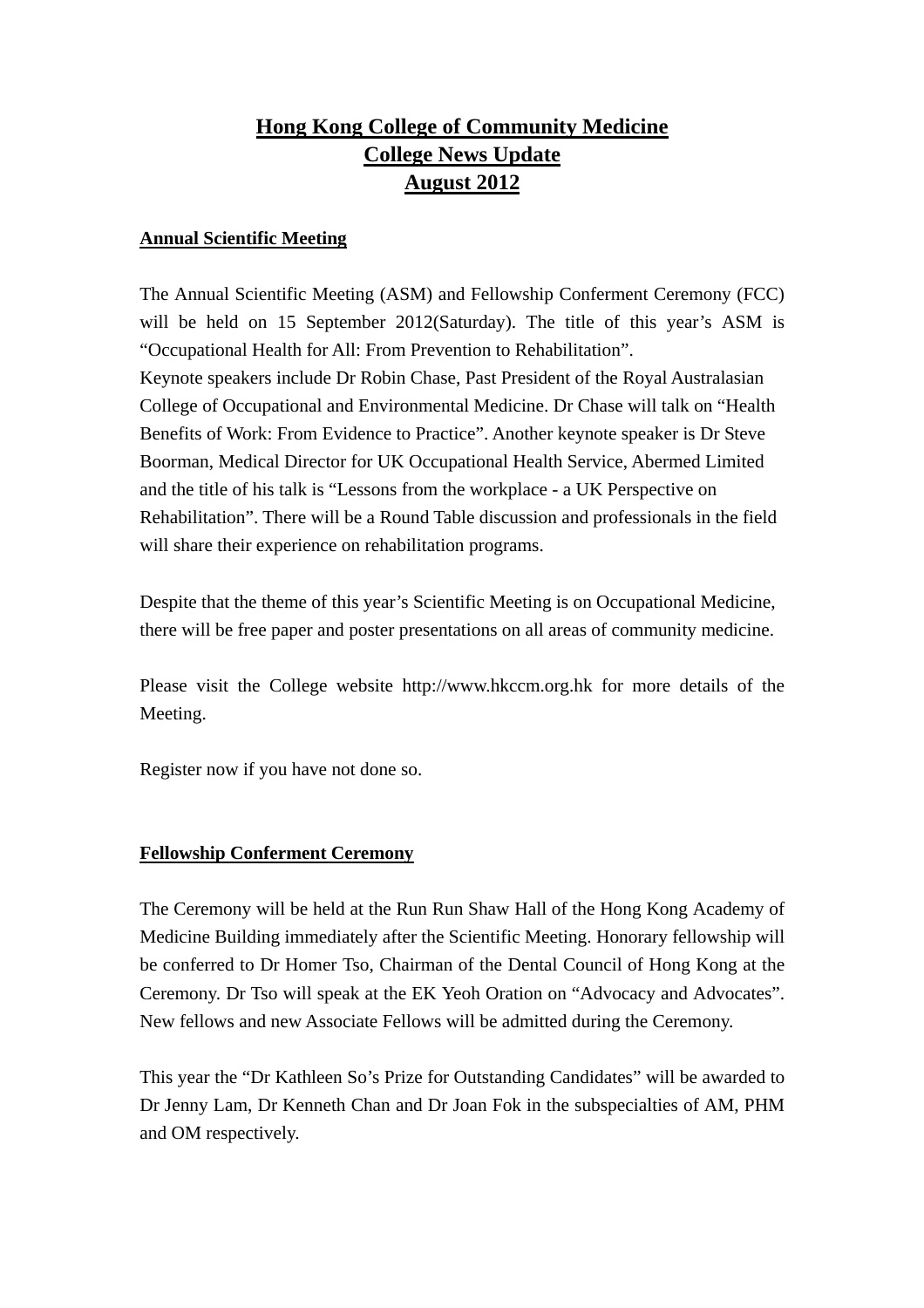# **Hong Kong College of Community Medicine College News Update August 2012**

### **Annual Scientific Meeting**

The Annual Scientific Meeting (ASM) and Fellowship Conferment Ceremony (FCC) will be held on 15 September 2012(Saturday). The title of this year's ASM is "Occupational Health for All: From Prevention to Rehabilitation". Keynote speakers include Dr Robin Chase, Past President of the Royal Australasian College of Occupational and Environmental Medicine. Dr Chase will talk on "Health Benefits of Work: From Evidence to Practice". Another keynote speaker is Dr Steve Boorman, Medical Director for UK Occupational Health Service, Abermed Limited and the title of his talk is "Lessons from the workplace - a UK Perspective on Rehabilitation". There will be a Round Table discussion and professionals in the field will share their experience on rehabilitation programs.

Despite that the theme of this year's Scientific Meeting is on Occupational Medicine, there will be free paper and poster presentations on all areas of community medicine.

Please visit the College website http://www.hkccm.org.hk for more details of the Meeting.

Register now if you have not done so.

## **Fellowship Conferment Ceremony**

The Ceremony will be held at the Run Run Shaw Hall of the Hong Kong Academy of Medicine Building immediately after the Scientific Meeting. Honorary fellowship will be conferred to Dr Homer Tso, Chairman of the Dental Council of Hong Kong at the Ceremony. Dr Tso will speak at the EK Yeoh Oration on "Advocacy and Advocates". New fellows and new Associate Fellows will be admitted during the Ceremony.

This year the "Dr Kathleen So's Prize for Outstanding Candidates" will be awarded to Dr Jenny Lam, Dr Kenneth Chan and Dr Joan Fok in the subspecialties of AM, PHM and OM respectively.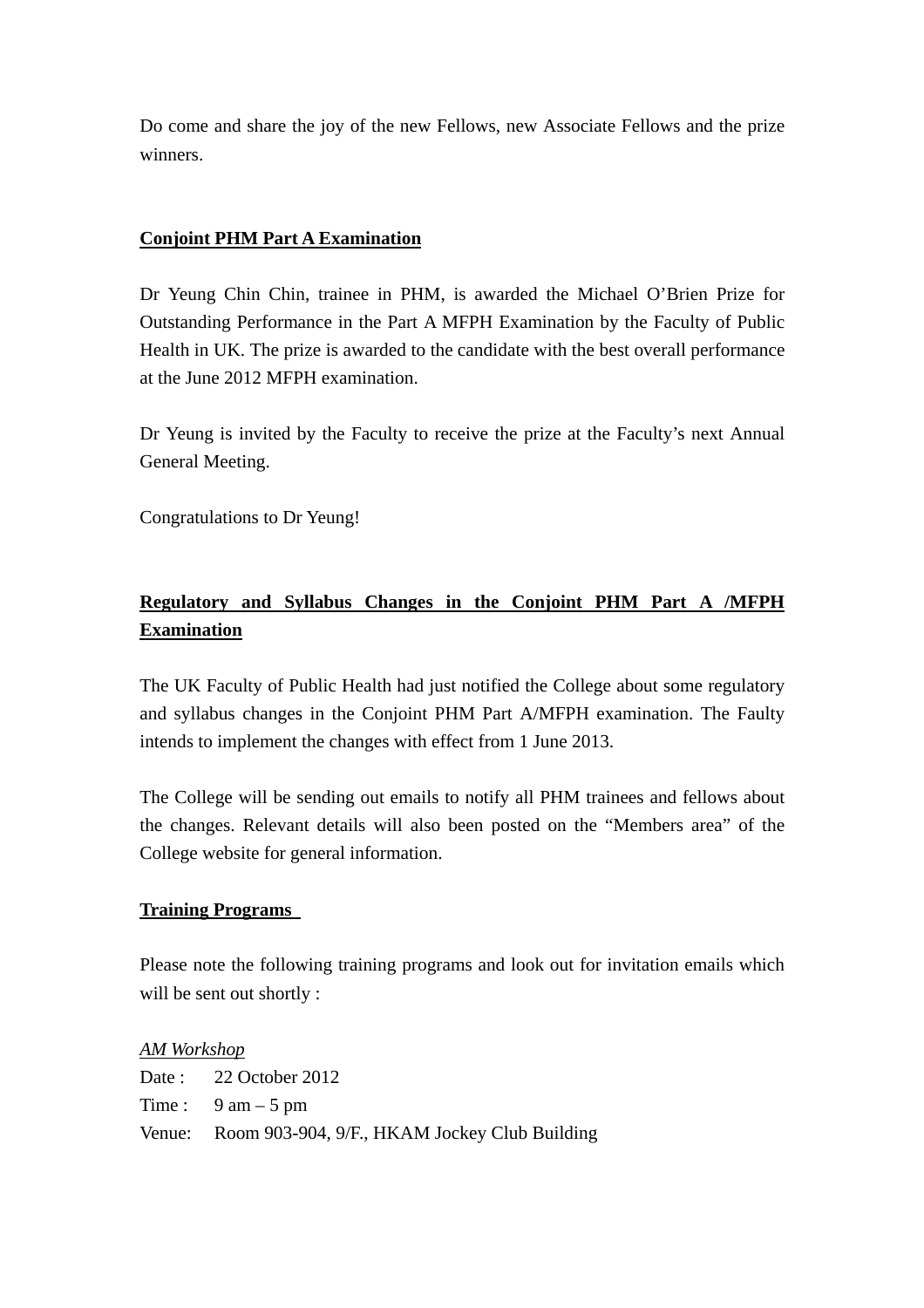Do come and share the joy of the new Fellows, new Associate Fellows and the prize winners.

## **Conjoint PHM Part A Examination**

Dr Yeung Chin Chin, trainee in PHM, is awarded the Michael O'Brien Prize for Outstanding Performance in the Part A MFPH Examination by the Faculty of Public Health in UK. The prize is awarded to the candidate with the best overall performance at the June 2012 MFPH examination.

Dr Yeung is invited by the Faculty to receive the prize at the Faculty's next Annual General Meeting.

Congratulations to Dr Yeung!

## **Regulatory and Syllabus Changes in the Conjoint PHM Part A /MFPH Examination**

The UK Faculty of Public Health had just notified the College about some regulatory and syllabus changes in the Conjoint PHM Part A/MFPH examination. The Faulty intends to implement the changes with effect from 1 June 2013.

The College will be sending out emails to notify all PHM trainees and fellows about the changes. Relevant details will also been posted on the "Members area" of the College website for general information.

## **Training Programs**

Please note the following training programs and look out for invitation emails which will be sent out shortly :

#### *AM Workshop*

| Date: $22$ October 2012                              |
|------------------------------------------------------|
| Time: $9 \text{ am} - 5 \text{ pm}$                  |
| Venue: Room 903-904, 9/F., HKAM Jockey Club Building |